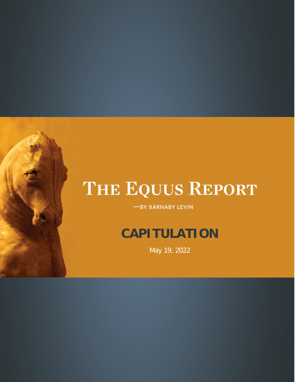-BY BARNABY LEVIN

### **CAPITULATION**

May 19, 2022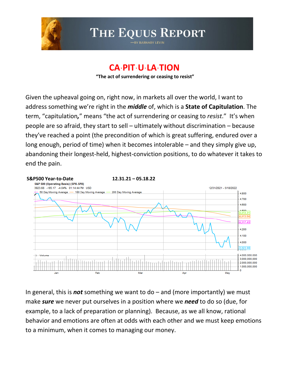

BY BARNABY LEVIN

### **CAˑPITˑUˑLAˑTION**

**"The act of surrendering or ceasing to resist"**

Given the upheaval going on, right now, in markets all over the world, I want to address something we're right in the *middle* of, which is a **State of Capitulation**. The term, "capitulation*,*" means "the act of surrendering or ceasing to *resist*." It's when people are so afraid, they start to sell – ultimately without discrimination – because they've reached a point (the precondition of which is great suffering, endured over a long enough, period of time) when it becomes intolerable – and they simply give up, abandoning their longest-held, highest-conviction positions, to do whatever it takes to end the pain.



In general, this is *not* something we want to do – and (more importantly) we must make *sure* we never put ourselves in a position where we *need* to do so (due, for example, to a lack of preparation or planning). Because, as we all know, rational behavior and emotions are often at odds with each other and we must keep emotions to a minimum, when it comes to managing our money.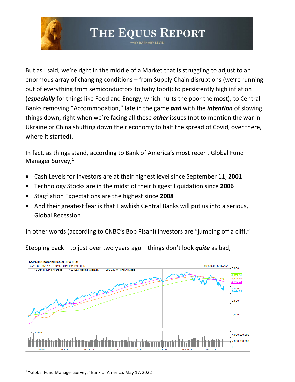BY BARNABY LEVIN

But as I said, we're right in the middle of a Market that is struggling to adjust to an enormous array of changing conditions – from Supply Chain disruptions (we're running out of everything from semiconductors to baby food); to persistently high inflation (*especially* for things like Food and Energy, which hurts the poor the most); to Central Banks removing "Accommodation," late in the game *and* with the *intention* of slowing things down, right when we're facing all these *other* issues (not to mention the war in Ukraine or China shutting down their economy to halt the spread of Covid, over there, where it started).

In fact, as things stand, according to Bank of America's most recent Global Fund Manager Survey,<sup>[1](#page-2-0)</sup>

- Cash Levels for investors are at their highest level since September 11, **2001**
- Technology Stocks are in the midst of their biggest liquidation since **2006**
- Stagflation Expectations are the highest since **2008**
- And their greatest fear is that Hawkish Central Banks will put us into a serious, Global Recession

In other words (according to CNBC's Bob Pisani) investors are "jumping off a cliff."

Stepping back – to just over two years ago – things don't look *quite* as bad,



<span id="page-2-0"></span> $1$  "Global Fund Manager Survey," Bank of America, May 17, 2022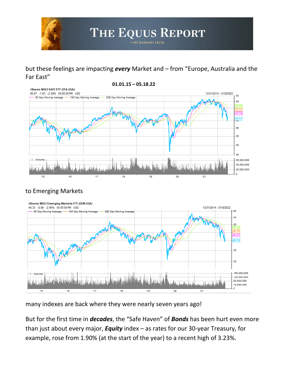

#### but these feelings are impacting *every* Market and – from "Europe, Australia and the Far East"



#### to Emerging Markets



many indexes are back where they were nearly seven years ago!

But for the first time in *decades*, the "Safe Haven" of *Bonds* has been hurt even more than just about every major, *Equity* index – as rates for our 30-year Treasury, for example, rose from 1.90% (at the start of the year) to a recent high of 3.23%.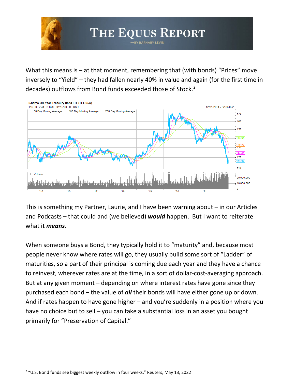What this means is  $-$  at that moment, remembering that (with bonds) "Prices" move inversely to "Yield" – they had fallen nearly 40% in value and again (for the first time in decades) outflows from Bond funds exceeded those of Stock.<sup>[2](#page-4-0)</sup>

THE EQUUS REPORT BY BARNABY LEVIN



This is something my Partner, Laurie, and I have been warning about – in our Articles and Podcasts – that could and (we believed) *would* happen. But I want to reiterate what it *means*.

When someone buys a Bond, they typically hold it to "maturity" and, because most people never know where rates will go, they usually build some sort of "Ladder" of maturities, so a part of their principal is coming due each year and they have a chance to reinvest, wherever rates are at the time, in a sort of dollar-cost-averaging approach. But at any given moment – depending on where interest rates have gone since they purchased each bond – the value of *all* their bonds will have either gone up or down. And if rates happen to have gone higher – and you're suddenly in a position where you have no choice but to sell – you can take a substantial loss in an asset you bought primarily for "Preservation of Capital."

<span id="page-4-0"></span> $2$  "U.S. Bond funds see biggest weekly outflow in four weeks," Reuters, May 13, 2022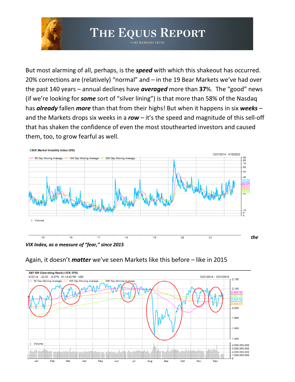#### THE EQUUS REPORT BY BARNABY LEVIN

But most alarming of all, perhaps, is the *speed* with which this shakeout has occurred. 20% corrections are (relatively) "normal" and – in the 19 Bear Markets we've had over the past 140 years – annual declines have *averaged* more than **37**%. The "good" news (if we're looking for *some* sort of "silver lining") is that more than 58% of the Nasdaq has *already* fallen *more* than that from their highs! But when it happens in six *weeks* – and the Markets drops six weeks in a *row* – it's the speed and magnitude of this sell-off that has shaken the confidence of even the most stouthearted investors and caused them, too, to grow fearful as well.



*VIX Index, as a measure of "fear," since 2015*



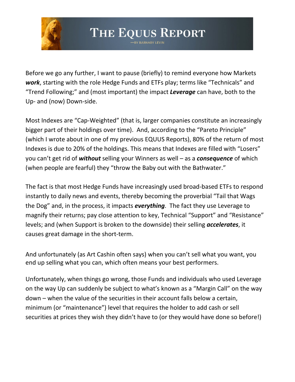

Before we go any further, I want to pause (briefly) to remind everyone how Markets *work*, starting with the role Hedge Funds and ETFs play; terms like "Technicals" and "Trend Following;" and (most important) the impact *Leverage* can have, both to the Up- and (now) Down-side.

Most Indexes are "Cap-Weighted" (that is, larger companies constitute an increasingly bigger part of their holdings over time). And, according to the "Pareto Principle" (which I wrote about in one of my previous EQUUS Reports), 80% of the return of most Indexes is due to 20% of the holdings. This means that Indexes are filled with "Losers" you can't get rid of *without* selling your Winners as well – as a *consequence* of which (when people are fearful) they "throw the Baby out with the Bathwater."

The fact is that most Hedge Funds have increasingly used broad-based ETFs to respond instantly to daily news and events, thereby becoming the proverbial "Tail that Wags the Dog" and, in the process, it impacts *everything*. The fact they use Leverage to magnify their returns; pay close attention to key, Technical "Support" and "Resistance" levels; and (when Support is broken to the downside) their selling *accelerates*, it causes great damage in the short-term.

And unfortunately (as Art Cashin often says) when you can't sell what you want, you end up selling what you can, which often means your best performers.

Unfortunately, when things go wrong, those Funds and individuals who used Leverage on the way Up can suddenly be subject to what's known as a "Margin Call" on the way down – when the value of the securities in their account falls below a certain, minimum (or "maintenance") level that requires the holder to add cash or sell securities at prices they wish they didn't have to (or they would have done so before!)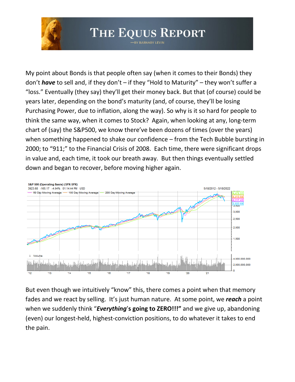

BY BARNABY LEVIN

My point about Bonds is that people often say (when it comes to their Bonds) they don't *have* to sell and, if they don't – if they "Hold to Maturity" – they won't suffer a "loss." Eventually (they say) they'll get their money back. But that (of course) could be years later, depending on the bond's maturity (and, of course, they'll be losing Purchasing Power, due to inflation, along the way). So why is it so hard for people to think the same way, when it comes to Stock? Again, when looking at any, long-term chart of (say) the S&P500, we know there've been dozens of times (over the years) when something happened to shake our confidence – from the Tech Bubble bursting in 2000; to "911;" to the Financial Crisis of 2008. Each time, there were significant drops in value and, each time, it took our breath away. But then things eventually settled down and began to recover, before moving higher again.



But even though we intuitively "know" this, there comes a point when that memory fades and we react by selling. It's just human nature. At some point, we *reach* a point when we suddenly think "*Everything*'**s going to ZERO!!!"** and we give up, abandoning (even) our longest-held, highest-conviction positions, to do whatever it takes to end the pain.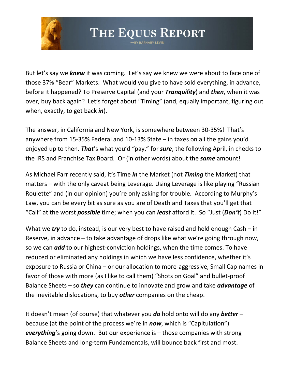

But let's say we *knew* it was coming. Let's say we knew we were about to face one of those 37% "Bear" Markets. What would you give to have sold everything, in advance, before it happened? To Preserve Capital (and your *Tranquility*) and *then*, when it was over, buy back again? Let's forget about "Timing" (and, equally important, figuring out when, exactly, to get back *in*).

The answer, in California and New York, is somewhere between 30-35%! That's anywhere from 15-35% Federal and 10-13% State – in taxes on all the gains you'd enjoyed up to then. *That*'s what you'd "pay," for *sure*, the following April, in checks to the IRS and Franchise Tax Board. Or (in other words) about the *same* amount!

As Michael Farr recently said, it's Time *in* the Market (not *Timing* the Market) that matters – with the only caveat being Leverage. Using Leverage is like playing "Russian Roulette" and (in our opinion) you're only asking for trouble. According to Murphy's Law, you can be every bit as sure as you are of Death and Taxes that you'll get that "Call" at the worst *possible* time; when you can *least* afford it. So "Just (*Don't*) Do It!"

What we *try* to do, instead, is our very best to have raised and held enough Cash – in Reserve, in advance – to take advantage of drops like what we're going through now, so we can *add* to our highest-conviction holdings, when the time comes. To have reduced or eliminated any holdings in which we have less confidence, whether it's exposure to Russia or China – or our allocation to more-aggressive, Small Cap names in favor of those with more (as I like to call them) "Shots on Goal" and bullet-proof Balance Sheets – so *they* can continue to innovate and grow and take *advantage* of the inevitable dislocations, to buy *other* companies on the cheap.

It doesn't mean (of course) that whatever you *do* hold onto will do any *better* – because (at the point of the process we're in *now*, which is "Capitulation") *everything*'s going down. But our experience is – those companies with strong Balance Sheets and long-term Fundamentals, will bounce back first and most.